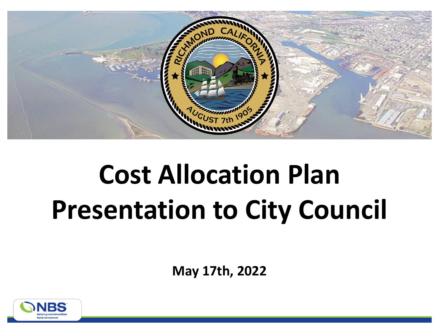

# **Cost Allocation Plan Presentation to City Council**

**May 17th, 2022**

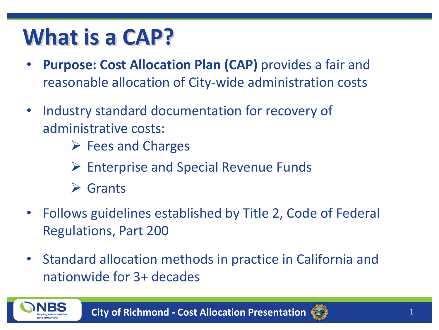### **What is a CAP?**

- **Purpose: Cost Allocation Plan (CAP)** provides a fair and reasonable allocation of City-wide administration costs
- Industry standard documentation for recovery of administrative costs:
	- ➢ Fees and Charges
	- ➢ Enterprise and Special Revenue Funds
	- ➢ Grants
- Follows guidelines established by Title 2, Code of Federal Regulations, Part 200
- Standard allocation methods in practice in California and nationwide for 3+ decades



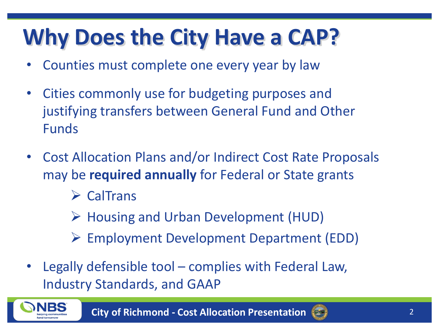## **Why Does the City Have a CAP?**

- Counties must complete one every year by law
- Cities commonly use for budgeting purposes and justifying transfers between General Fund and Other Funds
- Cost Allocation Plans and/or Indirect Cost Rate Proposals may be **required annually** for Federal or State grants
	- ➢ CalTrans
	- ➢ Housing and Urban Development (HUD)
	- ➢ Employment Development Department (EDD)
- Legally defensible tool complies with Federal Law, Industry Standards, and GAAP



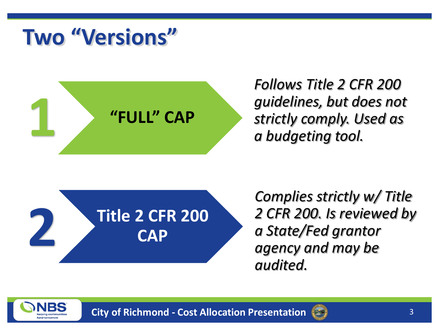#### **Two "Versions"**



*Follows Title 2 CFR 200 guidelines, but does not strictly comply. Used as* 



*Complies strictly w/ Title 2 CFR 200. Is reviewed by a State/Fed grantor agency and may be audited.*



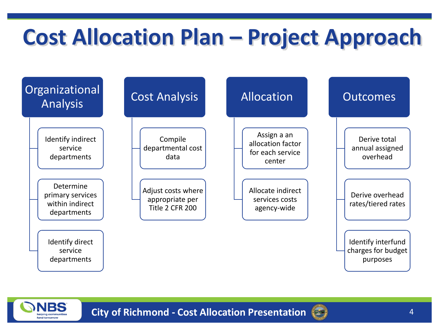## **Cost Allocation Plan – Project Approach**





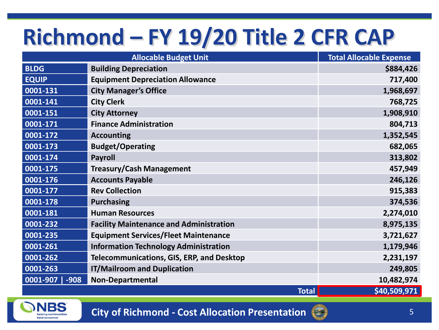## **Richmond – FY 19/20 Title 2 CFR CAP**

| <b>Allocable Budget Unit</b> |                                                  | <b>Total Allocable Expense</b> |
|------------------------------|--------------------------------------------------|--------------------------------|
| <b>BLDG</b>                  | <b>Building Depreciation</b>                     | \$884,426                      |
| <b>EQUIP</b>                 | <b>Equipment Depreciation Allowance</b>          | 717,400                        |
| 0001-131                     | <b>City Manager's Office</b>                     | 1,968,697                      |
| 0001-141                     | <b>City Clerk</b>                                | 768,725                        |
| 0001-151                     | <b>City Attorney</b>                             | 1,908,910                      |
| 0001-171                     | <b>Finance Administration</b>                    | 804,713                        |
| 0001-172                     | <b>Accounting</b>                                | 1,352,545                      |
| 0001-173                     | <b>Budget/Operating</b>                          | 682,065                        |
| 0001-174                     | <b>Payroll</b>                                   | 313,802                        |
| 0001-175                     | <b>Treasury/Cash Management</b>                  | 457,949                        |
| 0001-176                     | <b>Accounts Payable</b>                          | 246,126                        |
| 0001-177                     | <b>Rev Collection</b>                            | 915,383                        |
| 0001-178                     | <b>Purchasing</b>                                | 374,536                        |
| 0001-181                     | <b>Human Resources</b>                           | 2,274,010                      |
| 0001-232                     | <b>Facility Maintenance and Administration</b>   | 8,975,135                      |
| 0001-235                     | <b>Equipment Services/Fleet Maintenance</b>      | 3,721,627                      |
| 0001-261                     | <b>Information Technology Administration</b>     | 1,179,946                      |
| 0001-262                     | <b>Telecommunications, GIS, ERP, and Desktop</b> | 2,231,197                      |
| 0001-263                     | <b>IT/Mailroom and Duplication</b>               | 249,805                        |
| 0001-907<br>$-908$           | Non-Departmental                                 | 10,482,974                     |
| <b>Total</b>                 |                                                  | \$40,509,971                   |



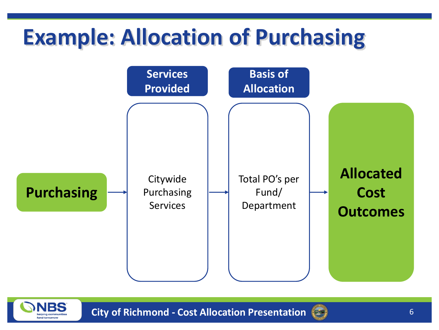#### **Example: Allocation of Purchasing**





**City of Richmond - Cost Allocation Presentation** 6

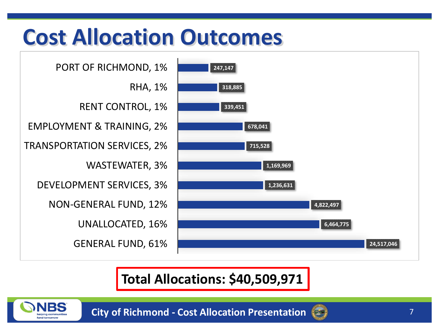#### **Cost Allocation Outcomes**

GENERAL FUND, 61% UNALLOCATED, 16% NON-GENERAL FUND, 12% DEVELOPMENT SERVICES, 3% WASTEWATER, 3% TRANSPORTATION SERVICES, 2% EMPLOYMENT & TRAINING, 2% RENT CONTROL, 1% RHA, 1% PORT OF RICHMOND, 1%



#### **Total Allocations: \$40,509,971**



**City of Richmond - Cost Allocation Presentation** 7

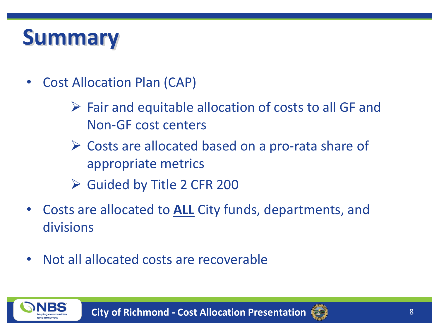#### **Summary**

- Cost Allocation Plan (CAP)
	- $\triangleright$  Fair and equitable allocation of costs to all GF and Non-GF cost centers
	- ➢ Costs are allocated based on a pro-rata share of appropriate metrics
	- ➢ Guided by Title 2 CFR 200
- Costs are allocated to **ALL** City funds, departments, and divisions
- Not all allocated costs are recoverable